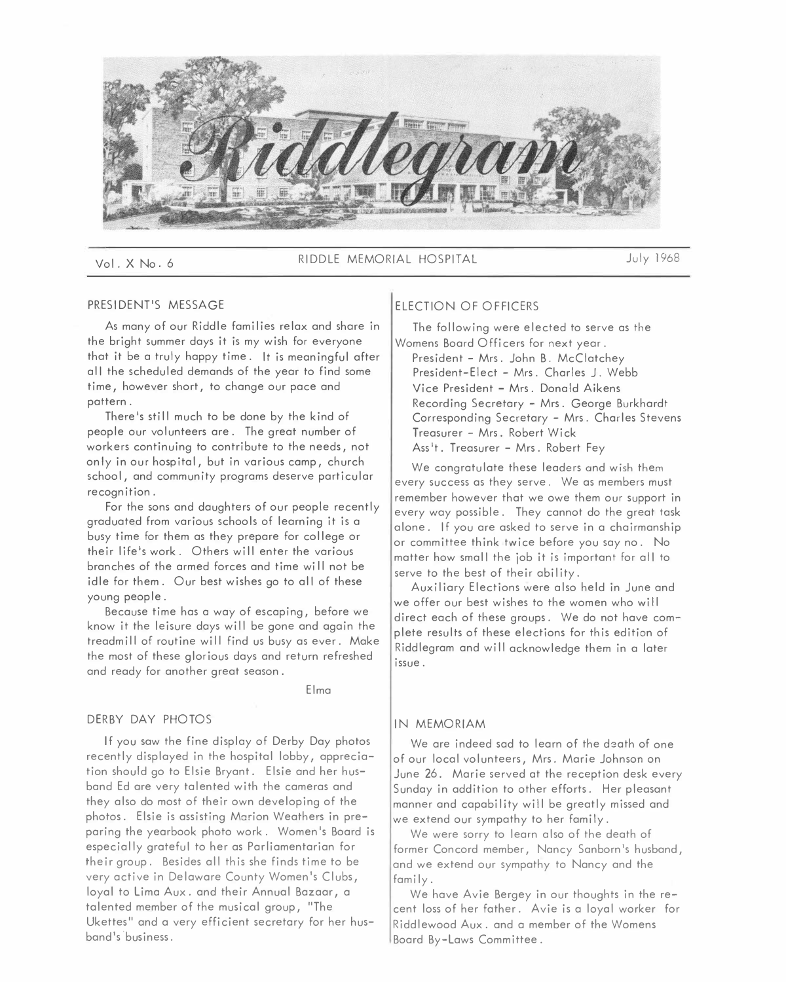

Vol. X No. 6 RIDDLE MEMORIAL HOSPITAL July 1968

# PRESIDENT'S MESSAGE

As many of our Riddle families relax and share in the bright summer days it is my wish for everyone that it be a truly happy time. It is meaningful after all the scheduled demands of the year to find some time, however short, to change our pace and pattern.

There's still much to be done by the kind of people our volunteers are. The great number of workers continuing to contribute to the needs, not only in our hospital, but in various camp, church school, and community programs deserve particular recognition.

For the sons and daughters of our people recently graduated from various schools of learning it is a busy time for them as they prepare for college or their life's work. Others will enter the various branches of the armed forces and time wi 11 not be idle for them. Our best wishes go to all of these young people.

Because time has a way of escaping, before we know it the leisure days will be gone and again the treadmill of routine will find us busy as ever. Make the most of these glorious days and return refreshed and ready for another great season.

Elma

### DERBY DAY PHOTOS

If you saw the fine display of Derby Day photos recently displayed in the hospital lobby, appreciation should go to Elsie Bryant. Elsie and her husband Ed are very talented with the cameras and they also do most of their own developing of the photos. Elsie is assisting Marion Weathers in preparing the yearbook photo work. Women's Board is especially grateful to her as Parliamentarian for their group. Besides all this she finds time to be very active in Delaware County Women's Clubs, loyal to Lima Aux. and their Annual Bazaar, a talented member of the musical group, "The Ukettes" and a very efficient secretary for her husband's 'business.

# ELECTION OF OFFICERS

The following were elected to serve as the Womens Board Officers for next year.

President - Mrs. John B. McClatchey President-Elect - Mrs. Charles J. Webb Vice President - Mrs. Donald Aikens Recording Secretary - Mrs. George Burkhardt Corresponding Secretary - Mrs. Charles Stevens Treasurer - Mrs. Robert Wick Ass<sup>1</sup>t. Treasurer - Mrs. Robert Fey

We congratulate these leaders and wish them every success as they serve. We as members must remember however that we owe them our support in every way possible. They cannot do the great task alone. If you are asked to serve in a chairmanship or committee think twice before you say no. No matter how small the job it is important for all to serve to the best of their ability.

Auxiliary Elections were also held in June and we offer our best wishes to the women who will direct each of these groups. We do not have complete results of these elections for this edition of Riddlegram and will acknowledge them in a later issue.

# IN MEMORIAM

We are indeed sad to learn of the death of one of our local volunteers, Mrs. Marie Johnson on June 26. Marie served at the reception desk every Sunday in addition to other efforts. Her pleasant manner and capability will be greatly missed and we extend our sympathy to her family.

We were sorry to learn also of the death of former Concord member, Nancy Sanborn's husband, and we extend our sympathy to Nancy and the family.

We have Avie Bergey in our thoughts in the recent loss of her father. Avie is a loyal worker for Riddlewood Aux. and a member of the Womens Board By-Laws Committee.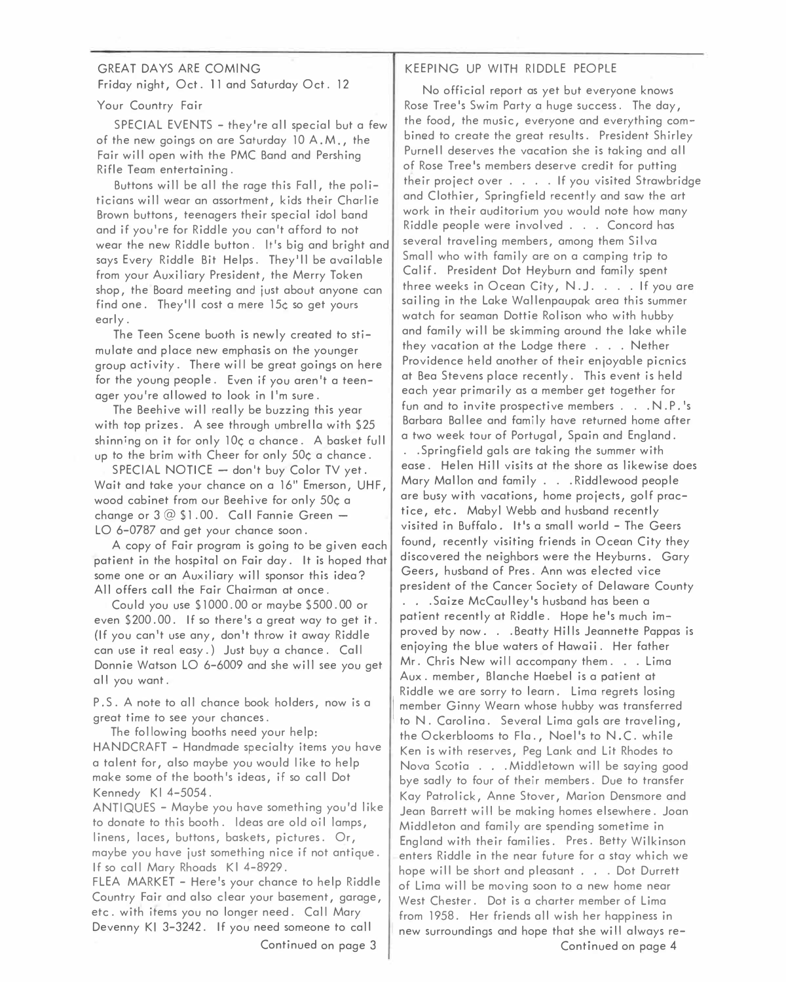# GREAT DAYS ARE COMING Friday night, Oct. 11 and Saturday Oct. 12

Your Country Fair

SPECIAL EVENTS - they're all special but a few of the new goings on are Saturday 10 A.M., the Fair will open with the PMC Band and Pershing Rifle Team entertaining.

Buttons will be all the rage this Fall, the politicians will wear an assortment, kids their Charlie Brown buttons, teenagers their special idol band and if you're for Riddle you can't afford to not wear the new Riddle button. It's big and bright and says Every Riddle Bit Helps. They'll be available from your Auxiliary President, the Merry Token shop, the Board meeting and just about anyone can find one. They'll cost a mere 15¢ so get yours early.

The Teen Scene buoth is newly created to stimulate and place new emphasis on the younger group activity. There will be great goings on here for the young people. Even if you aren't a teenager you're allowed to look in I'm sure.

The Beehive will really be buzzing this year with top prizes. A see through umbrella with \$25 shinning on it for only 10¢ a chance. A basket full up to the brim with Cheer for only 50¢ a chance.

 $SPECIAL NOTICE - don't buy Color TV yet.$ Wait and take your chance on a 16" Emerson, UHF, wood cabinet from our Beehive for only 50¢ a change or  $3@$1.00.$  Call Fannie Green -LO 6-0787 and get your chance soon.

A copy of Fair program is going to be given each patient in the hospital on Fair day. It is hoped that some one or an Auxiliary will sponsor this idea? All offers call the Fair Chairman at once.

Could you use \$1000. 00 or maybe \$500. 00 or even \$200. 00. If so there's a great way to get it. (If you can't use any, don't throw it away Riddle can use it real easy.) Just buy a chance. Call Donnie Watson LO 6-6009 and she will see you get all you want.

P.S. A note to all chance book holders, now is a greet time to see your chances.

The following booths need your help: HANDCRAFT - Handmade specialty items you have a talent for, also maybe you would like to help make some of the booth's ideas, if so call Dot Kennedy KI 4-5054.

ANTIQUES - Maybe you have something you'd like to donate to this booth. Ideas are old oil lamps, linens, laces, buttons, baskets, pictures. Or, maybe you have just something nice if not antique. If so call Mary Rhoads KI 4-8929.

FLEA MARKET - Here's your chance to help Riddle Country Fair and also clear your basement, garage, etc. with items you no longer need. Call Mary Devenny Kl 3-3242. If you need someone to call Continued on page 3

# KEEPING UP WITH RIDDLE PEOPLE

No official report as yet but everyone knows Rose Tree's Swim Party a huge success. The day, the food, the music, everyone and everything combined to create the great results. President Shirley Purnell deserves the vacation she is taking and all of Rose Tree's members deserve credit for putting their project over .... If you visited Strawbridge and Clothier, Springfield recently and saw the art work in their auditorium you would note how many Riddle people were involved . . . Concord has several traveling members, among them Silva Small who with family are on a camping trip to Calif. President Dot Heyburn and family spent three weeks in Ocean City, N. J. . . . If you are sailing in the Lake Wallenpaupak area this summer watch for seaman Dottie Rolison who with hubby and family will be skimming around the lake while they vacation at the Lodge there . . . Nether Providence held another of their enjoyable picnics at Bea Stevens place recently. This event is held each year primarily as a member get together for fun and to invite prospective members . . . N. P. 's Barbara Bailee and family have returned home after a two week tour of Portugal, Spain and England.

.. Springfield gals are taking the summer with ease. Helen Hill visits at the shore as likewise does Mary Mallon and family ... Riddlewood people are busy with vacations, home projects, golf practice, etc. Mabyl Webb and husband recently visited in Buffalo. It's a small world - The Geers found, recently visiting friends in Ocean City they discovered the neighbors were the Heyburns. Gary Geers, husband of Pres. Ann was elected vice president of the Cancer Society of Delaware County . .. Saize McCaulley's husband has been a patient recently at Riddle. Hope he's much improved by now. . . Beatty Hills Jeannette Pappas is enjoying the blue waters of Hawaii. Her father Mr. Chris New will accompany them. . . Lima Aux. member, Blanche Haebel is a patient at Riddle we ore sorry to learn. Lima regrets losing member Ginny Wearn whose hubby was transferred to N. Carolina. Several Lima gals are traveling, the Ockerblooms to Fla., Noel's to N. C. while Ken is with reserves, Peg Lank and Lit Rhodes to Nova Scotia . . . Middletown will be saying good bye sadly to four of their members. Due to transfer Kay Patrolick, Anne Stover, Marion Densmore and Jean Barrett will be making homes elsewhere. Joan Middleton and family are spending sometime in England with their families. Pres. Betty Wilkinson enters Riddle in the near future for a stay which we hope will be short and pleasant . . . Dot Durrett of Lima will be moving soon to a new home near West Chester. Dot is a charter member of Lima from 1958. Her friends all wish her happiness in new surroundings and hope that she wi II always re-Continued on page 4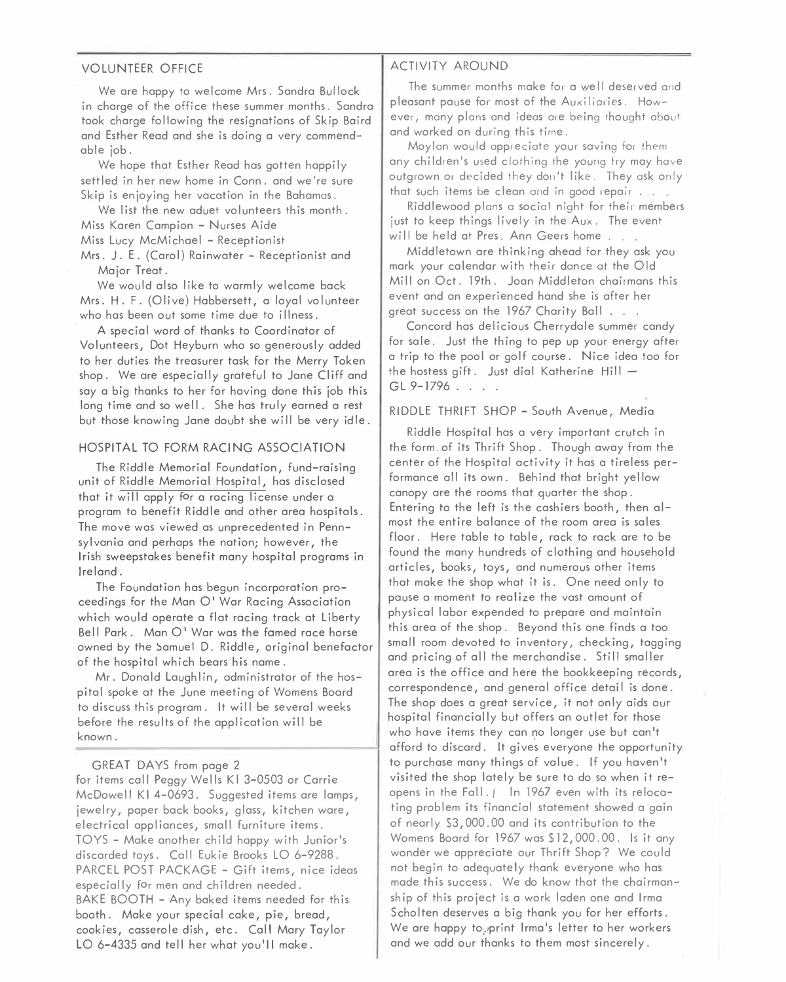### VOLUNTEER OFFICE

We are happy to welcome Mrs. Sandra Bullock in charge of the office these summer months. Sandra took charge following the resignations of Skip Baird and Esther Read and she is doing a very commendable job.

We hope that Esther Read has gotten happily settled in her new home in Conn. and we 're sure Skip is enjoying her vacation in the Bahamas.

We list the new aduet volunteers this month. Miss Karen Campion - Nurses Aide

Miss Lucy McMichael - Receptionist

Mrs. J.E. (Carol) Rainwater - Receptionist and Major Treat.

We would also like to warmly welcome back Mrs. H. F. (Olive) Habbersett, a loyal volunteer who has been out some time due to illness.

A special word of thanks to Coordinator of Volunteers, Dot Heyburn who so generously added to her duties the treasurer task for the Merry Token shop. We are especially grateful to Jane Cliff and say a big thanks to her for having done this job this long time and so well. She has truly earned a rest but those knowing Jane doubt she will be very idle.

### HOSPITAL TO FORM RACING ASSOCIATION

The Riddle Memorial Foundation, fund-raising unit of Riddle Memorial Hospital, has disclosed that it will apply for a racing license under a program to benefit Riddle and other area hospitals. The move was viewed as unprecedented in Pennsylvania and perhaps the nation; however, the Irish sweepstakes benefit many hospital programs in Ireland.

The Foundation has begun incorporation proceedings for the Man O' War Racing Association which would operate a flat racing track at Liberty Bell Park. Man O' War was the famed race horse owned by the Samuel D. Riddle, original benefactor of the hospital which bears his name.

Mr. Donald Laughlin, administrator of the hospital spoke at the June meeting of Womens Board to discuss this program. It will be several weeks before the results of the application will be known.

#### GREAT DAYS from page 2

for items call Peggy Wells Kl 3-0503 or Carrie McDowell KI 4-0693. Suggested items are lamps, jewelry, paper back books, glass, kitchen ware, electrical appliances, small furniture items. TOYS - Make another child happy with Junior's discarded toys. Call Eukie Brooks LO 6-9288. PARCEL POST PACKAGE - Gift items, nice ideas especially for men and children needed. BAKE BOOTH - Any baked items needed for this booth. Make your special cake, pie, bread, cookies, casserole dish, etc. Call Mary Taylor LO 6-4335 and tell her what you'll make.

#### ACTIVITY AROUND

The summer months make for a well deserved and pleasant pause for most of the Auxiliaries. However, many plans and ideas are being thought about and worked on during this time.

Moylan would appreciate your saving for fhem any children's used clothing the young fry may have outgrown or decided they don't like. They ask only that such items be clean and in good repair . . .

Riddlewood plans a social night for their members just to keep things lively in the Aux. The event will be held at Pres. Ann Geers home.

Middletown are thinking ahead for they ask you mark your calendar with their dance at the Old Mill on Oct. 19th. Joan Middleton chairmans this event and an experienced hand she is after her great success on the 1967 Charity Ball . . .

Concord has delicious Cherrydale summer candy for sale. Just the thing to pep up your energy after a trip to the pool or golf course. Nice idea too for the hostess gift. Just dial Katherine Hill  $-$ GL 9-1796 . . . .

# RIDDLE THRIFT SHOP - South Avenue, Media

Riddle Hospital has a very important crutch in the form. of its Thrift Shop. Though away from the center of the Hospital activity it has a tireless performance all its own. Behind that bright yellow canopy are the rooms that quarter the shop. Entering to the left is the cashiers booth, then almost the entire balance of the room area is sales floor. Here table to table, rack to rack are to be found the many hundreds of clothing and household articles, books, toys, and numerous other items that make the shop what it is. One need only to pause a moment to realize the vast amount of physical labor expended to prepare and maintain this area of the shop. Beyond this one finds a too small room devoted to inventory, checking, tagging and pricing of all the merchandise. Still smaller area is the office and here the bookkeeping records, correspondence, and general office detail is done. The shop does a great service, it not only aids our hospital financially but offers an outlet for those who have items they can no longer use but can't afford to discard. It gives everyone the opportunity to purchase many things of value. If you haven't visited the shop lately be sure to do so when it reopens in the Fall. ( In 1967 even with its relocating problem its financial statement showed a gain of nearly \$3,000.00 and its contribution to the Womens Board for 1967 was \$12,000.00. Is it any wonder we appreciate our Thrift Shop? We could not begin to adequately thank everyone who has made this success. We do know that the chairmanship of this project is a work laden one and Irma Scholten deserves a big thank you for her efforts. We are happy to, print Irma's letter to her workers and we add our thanks to them most sincerely.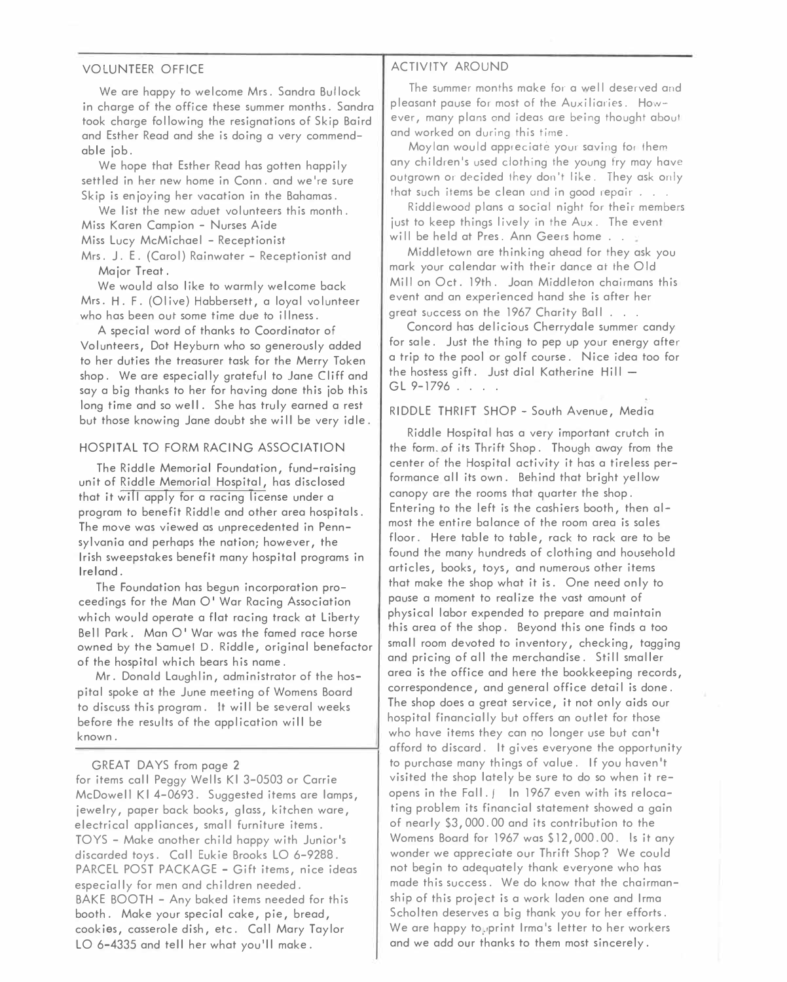# VOLUNTEER OFFICE

We are happy to welcome Mrs. Sandra Bullock in charge of the office these summer months. Sandra took charge following the resignations of Skip Baird and Esther Read and she is doing a very commenda*b*le *j*o*b*.

We hope that Esther Read has gotten happily settled in her new home in Conn. and we're sure Skip is en*j*oying her vacation in the Bahamas.

We list the new aduet volunteers this month. Miss Karen Campion - Nurses Aide

Miss Lucy McMichael - Receptionist

Mrs. J. E. {Carol) Rainwater - Receptionist and Ma*j*or Treat.

We would also like to warmly welcome *b*ack Mrs. H. F. (Olive) Habbersett, a loyal volunteer who has *b*een out some time due to illness.

A special word of thanks to Coordinator of Volunteers, Dot Heyburn who so generously added to her duties the treasurer task for the Merry Token shop. We are especially grateful to Jane Cliff and say a *b*ig thanks to her for having done this *j*o*b* this long time and so well. She has truly earned a rest *b*ut those knowing Jane dou*b*t she will *b*e very idle.

# HOSPITAL TO FORM RACING ASSOCIATION

The Riddle Memorial Foundation, fund*-*raising unit of Riddle Memorial Hospital, has disclosed that it will apply for a racing license under a program to *b*enefit Riddle and other area hospitals. The move was viewed as unprecedented in Pennsylvania and perhaps the nation; however, the Irish sweepstakes *b*enefit many hospital programs in Ireland.

The Foundation has *b*egun incorporation proceedings for the Man 0' War Racing Association which would operate a flat racing track at Li*b*erty Bell Park. Man O' War was the famed race horse owned by the Samuel D. Riddle, original *b*enefactor of the hospital which *b*ears his name.

Mr. Donald Laughlin, administrator of the hospital spoke at the June meeting of Womens Board to discuss this program. It will *b*e several weeks *b*efore the results of the application will *b*e known.

# GREAT DAYS from page 2

for items call Peggy Wells Kl 3-0503 or Carrie McDowell Kl 4*-*0693. Suggested items are lamps, *j*ewelry, paper *b*ack *b*ooks, glass, kitchen ware, electrical appliances, small furniture items. TOYS *-* Make another child happy with Junior's discarded toys. Call Eukie Brooks LO 6*-*9288. PARCEL POST PACKAGE - Gift items, nice ideas especially for men and children needed. BAKE BOOTH *-* Any *b*aked items needed for this *b*ooth. Make your special cake, pie, *b*read, cookies, casserole dish, etc. Call Mary Taylor LO 6-4335 and tell her what you'll make.

### ACTIVITY AROUND

The summer months make for a well deserved and pleasant pause for most of the Auxiliaries. However, many plans and ideas are being thought about and worked on during this time.

Moylan would appreciate your saving fo, them any children's used clothing the young fry may have outgrown or decided they don't like. They ask only that such items be clean and in good repair . . .

Riddlewood plans a social night for their members *j*ust to keep things lively in the Aux. The event will be held at Pres. Ann Geers home . . .

Middletown are thinking ahead for they ask you mark your calendar with their dance at the Old Mill on Oct. 19th. Joan Middleton chairmans this event and an e*x*perienced hand she is after her great success on the 1967 Charity Ball . . .

Concord has delicious Cherrydale summer candy for sale. Just the thing to pep up your energy after a trip to the pool or golf course. Nice idea too for the hostess gift. Just dial Katherine Hill  $GL 9-1796$  . . .

# RIDDLE THRIFT SHOP - South Avenue, Media

Riddle Hospital has a very important crutch in the form. of its Thrift Shop. Though away from the center of the Hospital activity it has a tireless performance all its own. Behind that *b*right yellow canopy are the rooms that quarter the shop. Entering to the left is the cashiers *b*ooth, then almost the entire *b*alance of the room area is sales floor. Here ta*b*le to ta*b*le, rack to rack are to *b*e found the many hundreds of clothing and household articles, *b*ooks, toys, and numerous other items that make the shop what it is. One need only to pause a moment to realize the vast amount of physical la*b*or e*x*pended to prepare and maintain this area of the shop. Beyond this one finds a too small room devoted to inventory, checking, tagging and pricing of all the merchandise. Still smaller area is the office and here the *b*ookkeeping records, correspondence, and general office detail is done. The shop does a great service, it not only aids our hospital financially *b*ut offers an outlet for those who have items they can no longer use *b*ut can't afford to discard. It gives everyone the opportunity to purchase many things of value. If you haven't visited the shop lately *b*e sure to do so when it reopens in the Fall. / In 1967 even with its relocating pro*b*lem its financial statement showed a gain of nearly \$3, 000. 00 and its contri*b*ution to the Womens Board for 1967 was \$12, 000.00. Is it any wonder we appreciate our Thrift Shop? We could not *b*egin to adequately thank everyone who has made this success. We do know that the chairmanship of this pro*j*ect is a work laden one and Irma Scholten deserves a *b*ig thank you for her efforts. We are happy topprint Irma's letter to her workers and we add o*u*r thanks to them most sincerely.